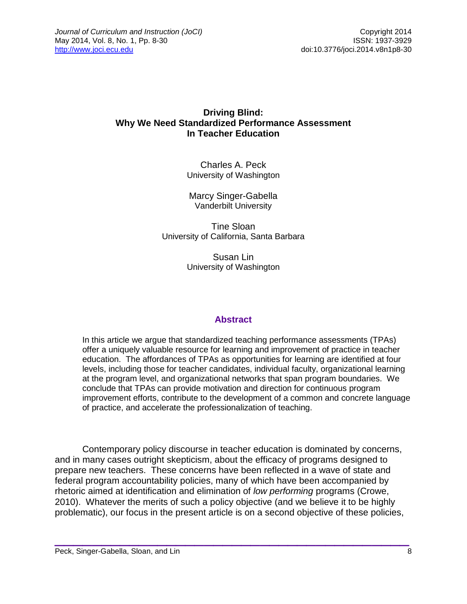### **Driving Blind: Why We Need Standardized Performance Assessment In Teacher Education**

Charles A. Peck University of Washington

Marcy Singer-Gabella Vanderbilt University

Tine Sloan University of California, Santa Barbara

> Susan Lin University of Washington

### **Abstract**

In this article we argue that standardized teaching performance assessments (TPAs) offer a uniquely valuable resource for learning and improvement of practice in teacher education. The affordances of TPAs as opportunities for learning are identified at four levels, including those for teacher candidates, individual faculty, organizational learning at the program level, and organizational networks that span program boundaries. We conclude that TPAs can provide motivation and direction for continuous program improvement efforts, contribute to the development of a common and concrete language of practice, and accelerate the professionalization of teaching.

Contemporary policy discourse in teacher education is dominated by concerns, and in many cases outright skepticism, about the efficacy of programs designed to prepare new teachers. These concerns have been reflected in a wave of state and federal program accountability policies, many of which have been accompanied by rhetoric aimed at identification and elimination of *low performing* programs (Crowe, 2010). Whatever the merits of such a policy objective (and we believe it to be highly problematic), our focus in the present article is on a second objective of these policies,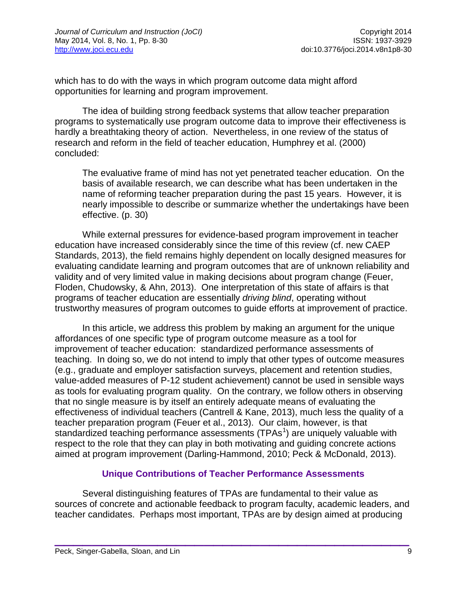which has to do with the ways in which program outcome data might afford opportunities for learning and program improvement.

The idea of building strong feedback systems that allow teacher preparation programs to systematically use program outcome data to improve their effectiveness is hardly a breathtaking theory of action. Nevertheless, in one review of the status of research and reform in the field of teacher education, Humphrey et al. (2000) concluded:

The evaluative frame of mind has not yet penetrated teacher education. On the basis of available research, we can describe what has been undertaken in the name of reforming teacher preparation during the past 15 years. However, it is nearly impossible to describe or summarize whether the undertakings have been effective. (p. 30)

While external pressures for evidence-based program improvement in teacher education have increased considerably since the time of this review (cf. new CAEP Standards, 2013), the field remains highly dependent on locally designed measures for evaluating candidate learning and program outcomes that are of unknown reliability and validity and of very limited value in making decisions about program change (Feuer, Floden, Chudowsky, & Ahn, 2013). One interpretation of this state of affairs is that programs of teacher education are essentially *driving blind*, operating without trustworthy measures of program outcomes to guide efforts at improvement of practice.

In this article, we address this problem by making an argument for the unique affordances of one specific type of program outcome measure as a tool for improvement of teacher education: standardized performance assessments of teaching. In doing so, we do not intend to imply that other types of outcome measures (e.g., graduate and employer satisfaction surveys, placement and retention studies, value-added measures of P-12 student achievement) cannot be used in sensible ways as tools for evaluating program quality. On the contrary, we follow others in observing that no single measure is by itself an entirely adequate means of evaluating the effectiveness of individual teachers (Cantrell & Kane, 2013), much less the quality of a teacher preparation program (Feuer et al., 2013). Our claim, however, is that standardized teaching performance assessments (TPAs<sup>[1](#page-21-0)</sup>) are uniquely valuable with respect to the role that they can play in both motivating and guiding concrete actions aimed at program improvement (Darling-Hammond, 2010; Peck & McDonald, 2013).

### **Unique Contributions of Teacher Performance Assessments**

Several distinguishing features of TPAs are fundamental to their value as sources of concrete and actionable feedback to program faculty, academic leaders, and teacher candidates. Perhaps most important, TPAs are by design aimed at producing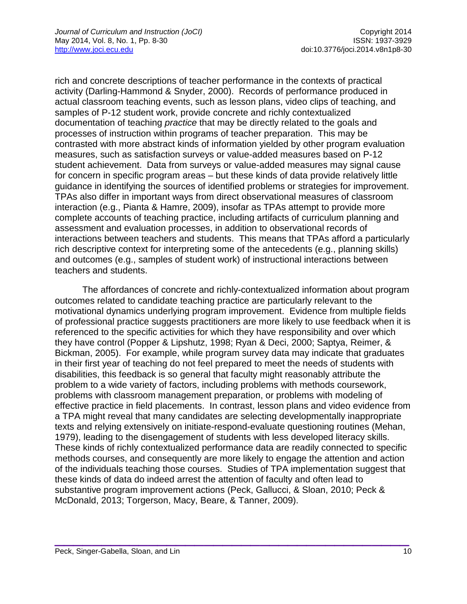rich and concrete descriptions of teacher performance in the contexts of practical activity (Darling-Hammond & Snyder, 2000). Records of performance produced in actual classroom teaching events, such as lesson plans, video clips of teaching, and samples of P-12 student work, provide concrete and richly contextualized documentation of teaching *practice* that may be directly related to the goals and processes of instruction within programs of teacher preparation. This may be contrasted with more abstract kinds of information yielded by other program evaluation measures, such as satisfaction surveys or value-added measures based on P-12 student achievement. Data from surveys or value-added measures may signal cause for concern in specific program areas – but these kinds of data provide relatively little guidance in identifying the sources of identified problems or strategies for improvement. TPAs also differ in important ways from direct observational measures of classroom interaction (e.g., Pianta & Hamre, 2009), insofar as TPAs attempt to provide more complete accounts of teaching practice, including artifacts of curriculum planning and assessment and evaluation processes, in addition to observational records of interactions between teachers and students. This means that TPAs afford a particularly rich descriptive context for interpreting some of the antecedents (e.g., planning skills) and outcomes (e.g., samples of student work) of instructional interactions between teachers and students.

The affordances of concrete and richly-contextualized information about program outcomes related to candidate teaching practice are particularly relevant to the motivational dynamics underlying program improvement. Evidence from multiple fields of professional practice suggests practitioners are more likely to use feedback when it is referenced to the specific activities for which they have responsibility and over which they have control (Popper & Lipshutz, 1998; Ryan & Deci, 2000; Saptya, Reimer, & Bickman, 2005). For example, while program survey data may indicate that graduates in their first year of teaching do not feel prepared to meet the needs of students with disabilities, this feedback is so general that faculty might reasonably attribute the problem to a wide variety of factors, including problems with methods coursework, problems with classroom management preparation, or problems with modeling of effective practice in field placements. In contrast, lesson plans and video evidence from a TPA might reveal that many candidates are selecting developmentally inappropriate texts and relying extensively on initiate-respond-evaluate questioning routines (Mehan, 1979), leading to the disengagement of students with less developed literacy skills. These kinds of richly contextualized performance data are readily connected to specific methods courses, and consequently are more likely to engage the attention and action of the individuals teaching those courses. Studies of TPA implementation suggest that these kinds of data do indeed arrest the attention of faculty and often lead to substantive program improvement actions (Peck, Gallucci, & Sloan, 2010; Peck & McDonald, 2013; Torgerson, Macy, Beare, & Tanner, 2009).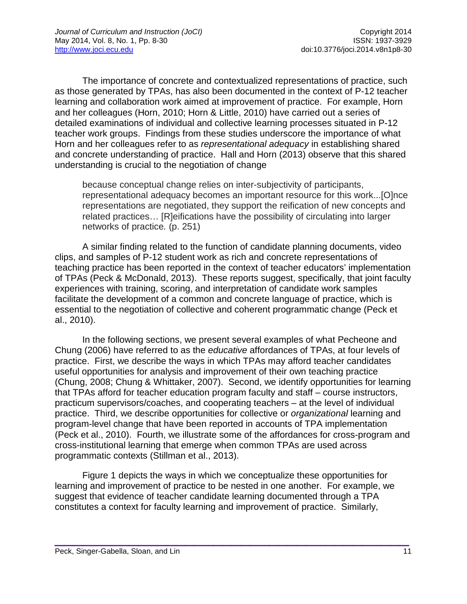The importance of concrete and contextualized representations of practice, such as those generated by TPAs, has also been documented in the context of P-12 teacher learning and collaboration work aimed at improvement of practice. For example, Horn and her colleagues (Horn, 2010; Horn & Little, 2010) have carried out a series of detailed examinations of individual and collective learning processes situated in P-12 teacher work groups. Findings from these studies underscore the importance of what Horn and her colleagues refer to as *representational adequacy* in establishing shared and concrete understanding of practice. Hall and Horn (2013) observe that this shared understanding is crucial to the negotiation of change

because conceptual change relies on inter-subjectivity of participants, representational adequacy becomes an important resource for this work...[O]nce representations are negotiated, they support the reification of new concepts and related practices… [R]eifications have the possibility of circulating into larger networks of practice*.* (p. 251)

A similar finding related to the function of candidate planning documents, video clips, and samples of P-12 student work as rich and concrete representations of teaching practice has been reported in the context of teacher educators' implementation of TPAs (Peck & McDonald, 2013). These reports suggest, specifically, that joint faculty experiences with training, scoring, and interpretation of candidate work samples facilitate the development of a common and concrete language of practice, which is essential to the negotiation of collective and coherent programmatic change (Peck et al., 2010).

In the following sections, we present several examples of what Pecheone and Chung (2006) have referred to as the *educative* affordances of TPAs, at four levels of practice. First, we describe the ways in which TPAs may afford teacher candidates useful opportunities for analysis and improvement of their own teaching practice (Chung, 2008; Chung & Whittaker, 2007). Second, we identify opportunities for learning that TPAs afford for teacher education program faculty and staff – course instructors, practicum supervisors/coaches, and cooperating teachers – at the level of individual practice. Third, we describe opportunities for collective or *organizational* learning and program-level change that have been reported in accounts of TPA implementation (Peck et al., 2010). Fourth, we illustrate some of the affordances for cross-program and cross-institutional learning that emerge when common TPAs are used across programmatic contexts (Stillman et al., 2013).

Figure 1 depicts the ways in which we conceptualize these opportunities for learning and improvement of practice to be nested in one another. For example, we suggest that evidence of teacher candidate learning documented through a TPA constitutes a context for faculty learning and improvement of practice. Similarly,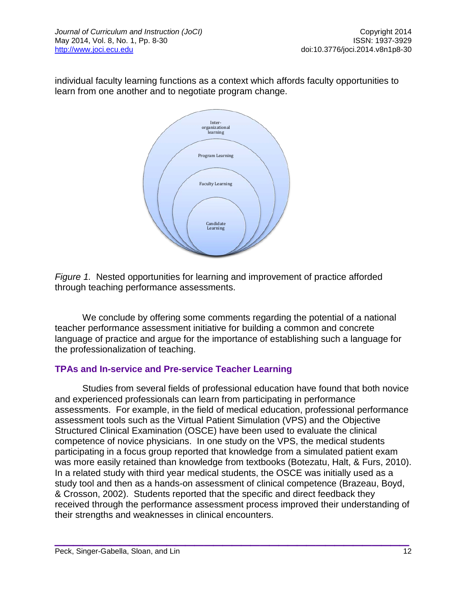individual faculty learning functions as a context which affords faculty opportunities to learn from one another and to negotiate program change.



*Figure 1.* Nested opportunities for learning and improvement of practice afforded through teaching performance assessments.

We conclude by offering some comments regarding the potential of a national teacher performance assessment initiative for building a common and concrete language of practice and argue for the importance of establishing such a language for the professionalization of teaching.

### **TPAs and In-service and Pre-service Teacher Learning**

Studies from several fields of professional education have found that both novice and experienced professionals can learn from participating in performance assessments. For example, in the field of medical education, professional performance assessment tools such as the Virtual Patient Simulation (VPS) and the Objective Structured Clinical Examination (OSCE) have been used to evaluate the clinical competence of novice physicians. In one study on the VPS, the medical students participating in a focus group reported that knowledge from a simulated patient exam was more easily retained than knowledge from textbooks (Botezatu, Halt, & Furs, 2010). In a related study with third year medical students, the OSCE was initially used as a study tool and then as a hands-on assessment of clinical competence (Brazeau, Boyd, & Crosson, 2002). Students reported that the specific and direct feedback they received through the performance assessment process improved their understanding of their strengths and weaknesses in clinical encounters.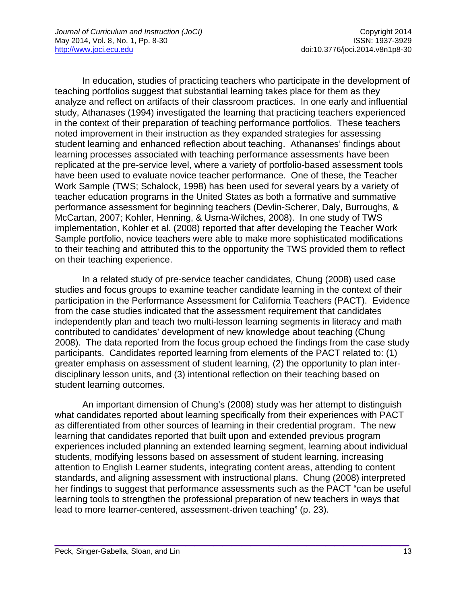In education, studies of practicing teachers who participate in the development of teaching portfolios suggest that substantial learning takes place for them as they analyze and reflect on artifacts of their classroom practices. In one early and influential study, Athanases (1994) investigated the learning that practicing teachers experienced in the context of their preparation of teaching performance portfolios. These teachers noted improvement in their instruction as they expanded strategies for assessing student learning and enhanced reflection about teaching. Athananses' findings about learning processes associated with teaching performance assessments have been replicated at the pre-service level, where a variety of portfolio-based assessment tools have been used to evaluate novice teacher performance. One of these, the Teacher Work Sample (TWS; Schalock, 1998) has been used for several years by a variety of teacher education programs in the United States as both a formative and summative performance assessment for beginning teachers (Devlin-Scherer, Daly, Burroughs, & McCartan, 2007; Kohler, Henning, & Usma-Wilches, 2008). In one study of TWS implementation, Kohler et al. (2008) reported that after developing the Teacher Work Sample portfolio, novice teachers were able to make more sophisticated modifications to their teaching and attributed this to the opportunity the TWS provided them to reflect on their teaching experience.

In a related study of pre-service teacher candidates, Chung (2008) used case studies and focus groups to examine teacher candidate learning in the context of their participation in the Performance Assessment for California Teachers (PACT). Evidence from the case studies indicated that the assessment requirement that candidates independently plan and teach two multi-lesson learning segments in literacy and math contributed to candidates' development of new knowledge about teaching (Chung 2008). The data reported from the focus group echoed the findings from the case study participants. Candidates reported learning from elements of the PACT related to: (1) greater emphasis on assessment of student learning, (2) the opportunity to plan interdisciplinary lesson units, and (3) intentional reflection on their teaching based on student learning outcomes.

An important dimension of Chung's (2008) study was her attempt to distinguish what candidates reported about learning specifically from their experiences with PACT as differentiated from other sources of learning in their credential program. The new learning that candidates reported that built upon and extended previous program experiences included planning an extended learning segment, learning about individual students, modifying lessons based on assessment of student learning, increasing attention to English Learner students, integrating content areas, attending to content standards, and aligning assessment with instructional plans. Chung (2008) interpreted her findings to suggest that performance assessments such as the PACT "can be useful learning tools to strengthen the professional preparation of new teachers in ways that lead to more learner-centered, assessment-driven teaching" (p. 23).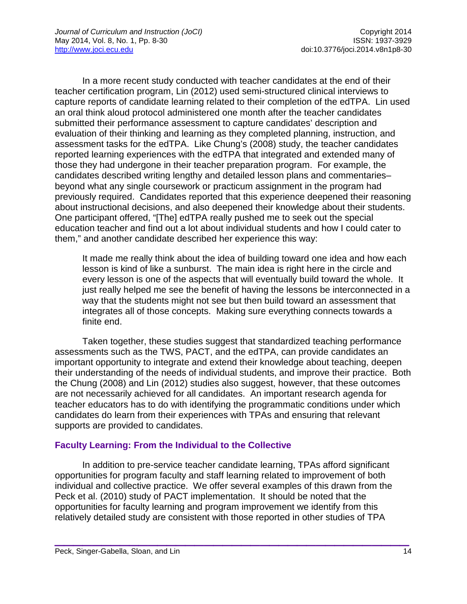In a more recent study conducted with teacher candidates at the end of their teacher certification program, Lin (2012) used semi-structured clinical interviews to capture reports of candidate learning related to their completion of the edTPA. Lin used an oral think aloud protocol administered one month after the teacher candidates submitted their performance assessment to capture candidates' description and evaluation of their thinking and learning as they completed planning, instruction, and assessment tasks for the edTPA. Like Chung's (2008) study, the teacher candidates reported learning experiences with the edTPA that integrated and extended many of those they had undergone in their teacher preparation program. For example, the candidates described writing lengthy and detailed lesson plans and commentaries– beyond what any single coursework or practicum assignment in the program had previously required. Candidates reported that this experience deepened their reasoning about instructional decisions, and also deepened their knowledge about their students. One participant offered, "[The] edTPA really pushed me to seek out the special education teacher and find out a lot about individual students and how I could cater to them," and another candidate described her experience this way:

It made me really think about the idea of building toward one idea and how each lesson is kind of like a sunburst. The main idea is right here in the circle and every lesson is one of the aspects that will eventually build toward the whole. It just really helped me see the benefit of having the lessons be interconnected in a way that the students might not see but then build toward an assessment that integrates all of those concepts. Making sure everything connects towards a finite end.

Taken together, these studies suggest that standardized teaching performance assessments such as the TWS, PACT, and the edTPA, can provide candidates an important opportunity to integrate and extend their knowledge about teaching, deepen their understanding of the needs of individual students, and improve their practice. Both the Chung (2008) and Lin (2012) studies also suggest, however, that these outcomes are not necessarily achieved for all candidates. An important research agenda for teacher educators has to do with identifying the programmatic conditions under which candidates do learn from their experiences with TPAs and ensuring that relevant supports are provided to candidates.

### **Faculty Learning: From the Individual to the Collective**

In addition to pre-service teacher candidate learning, TPAs afford significant opportunities for program faculty and staff learning related to improvement of both individual and collective practice. We offer several examples of this drawn from the Peck et al. (2010) study of PACT implementation. It should be noted that the opportunities for faculty learning and program improvement we identify from this relatively detailed study are consistent with those reported in other studies of TPA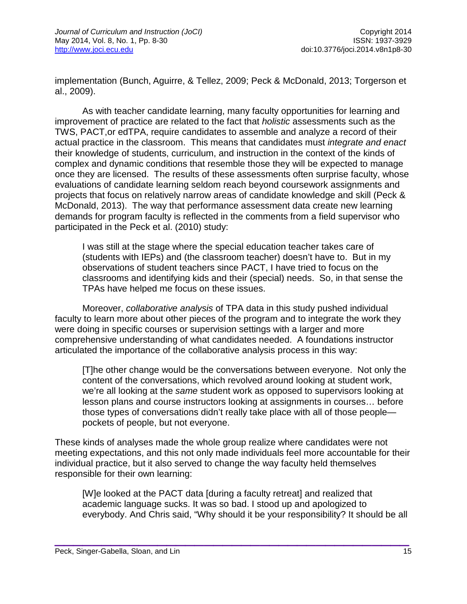implementation (Bunch, Aguirre, & Tellez, 2009; Peck & McDonald, 2013; Torgerson et al., 2009).

As with teacher candidate learning, many faculty opportunities for learning and improvement of practice are related to the fact that *holistic* assessments such as the TWS, PACT,or edTPA, require candidates to assemble and analyze a record of their actual practice in the classroom. This means that candidates must *integrate and enact* their knowledge of students, curriculum, and instruction in the context of the kinds of complex and dynamic conditions that resemble those they will be expected to manage once they are licensed. The results of these assessments often surprise faculty, whose evaluations of candidate learning seldom reach beyond coursework assignments and projects that focus on relatively narrow areas of candidate knowledge and skill (Peck & McDonald, 2013). The way that performance assessment data create new learning demands for program faculty is reflected in the comments from a field supervisor who participated in the Peck et al. (2010) study:

I was still at the stage where the special education teacher takes care of (students with IEPs) and (the classroom teacher) doesn't have to. But in my observations of student teachers since PACT, I have tried to focus on the classrooms and identifying kids and their (special) needs. So, in that sense the TPAs have helped me focus on these issues.

Moreover, *collaborative analysis* of TPA data in this study pushed individual faculty to learn more about other pieces of the program and to integrate the work they were doing in specific courses or supervision settings with a larger and more comprehensive understanding of what candidates needed. A foundations instructor articulated the importance of the collaborative analysis process in this way:

[T]he other change would be the conversations between everyone. Not only the content of the conversations, which revolved around looking at student work, we're all looking at the *same* student work as opposed to supervisors looking at lesson plans and course instructors looking at assignments in courses… before those types of conversations didn't really take place with all of those people pockets of people, but not everyone.

These kinds of analyses made the whole group realize where candidates were not meeting expectations, and this not only made individuals feel more accountable for their individual practice, but it also served to change the way faculty held themselves responsible for their own learning:

[W]e looked at the PACT data [during a faculty retreat] and realized that academic language sucks. It was so bad. I stood up and apologized to everybody. And Chris said, "Why should it be your responsibility? It should be all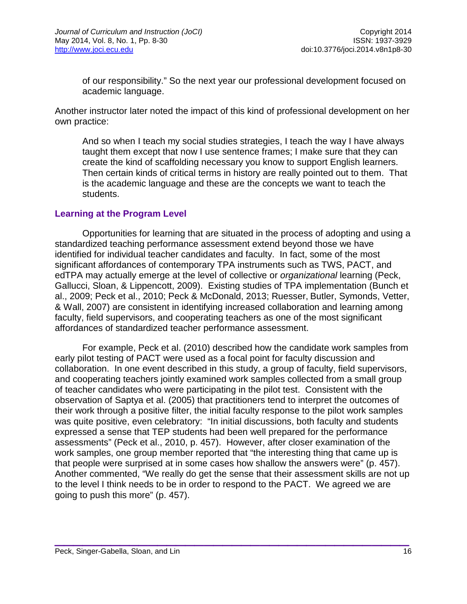of our responsibility." So the next year our professional development focused on academic language.

Another instructor later noted the impact of this kind of professional development on her own practice:

And so when I teach my social studies strategies, I teach the way I have always taught them except that now I use sentence frames; I make sure that they can create the kind of scaffolding necessary you know to support English learners. Then certain kinds of critical terms in history are really pointed out to them. That is the academic language and these are the concepts we want to teach the students.

#### **Learning at the Program Level**

Opportunities for learning that are situated in the process of adopting and using a standardized teaching performance assessment extend beyond those we have identified for individual teacher candidates and faculty. In fact, some of the most significant affordances of contemporary TPA instruments such as TWS, PACT, and edTPA may actually emerge at the level of collective or *organizational* learning (Peck, Gallucci, Sloan, & Lippencott, 2009). Existing studies of TPA implementation (Bunch et al., 2009; Peck et al., 2010; Peck & McDonald, 2013; Ruesser, Butler, Symonds, Vetter, & Wall, 2007) are consistent in identifying increased collaboration and learning among faculty, field supervisors, and cooperating teachers as one of the most significant affordances of standardized teacher performance assessment.

For example, Peck et al. (2010) described how the candidate work samples from early pilot testing of PACT were used as a focal point for faculty discussion and collaboration. In one event described in this study, a group of faculty, field supervisors, and cooperating teachers jointly examined work samples collected from a small group of teacher candidates who were participating in the pilot test. Consistent with the observation of Saptya et al. (2005) that practitioners tend to interpret the outcomes of their work through a positive filter, the initial faculty response to the pilot work samples was quite positive, even celebratory: "In initial discussions, both faculty and students expressed a sense that TEP students had been well prepared for the performance assessments" (Peck et al., 2010, p. 457). However, after closer examination of the work samples, one group member reported that "the interesting thing that came up is that people were surprised at in some cases how shallow the answers were" (p. 457). Another commented, "We really do get the sense that their assessment skills are not up to the level I think needs to be in order to respond to the PACT. We agreed we are going to push this more" (p. 457).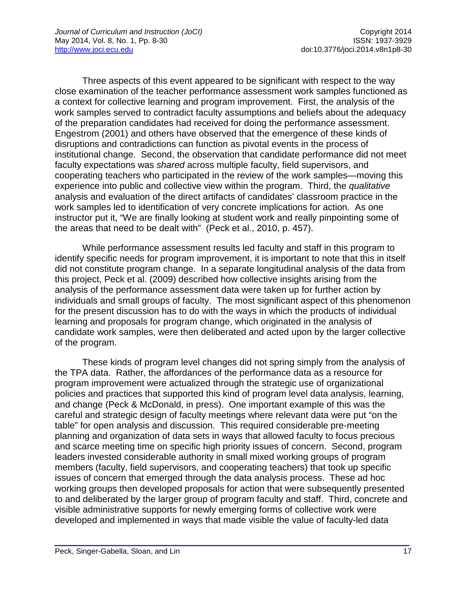Three aspects of this event appeared to be significant with respect to the way close examination of the teacher performance assessment work samples functioned as a context for collective learning and program improvement. First, the analysis of the work samples served to contradict faculty assumptions and beliefs about the adequacy of the preparation candidates had received for doing the performance assessment. Engestrom (2001) and others have observed that the emergence of these kinds of disruptions and contradictions can function as pivotal events in the process of institutional change. Second, the observation that candidate performance did not meet faculty expectations was *shared* across multiple faculty, field supervisors, and cooperating teachers who participated in the review of the work samples—moving this experience into public and collective view within the program. Third, the *qualitative*  analysis and evaluation of the direct artifacts of candidates' classroom practice in the work samples led to identification of very concrete implications for action. As one instructor put it, "We are finally looking at student work and really pinpointing some of the areas that need to be dealt with" (Peck et al., 2010, p. 457).

While performance assessment results led faculty and staff in this program to identify specific needs for program improvement, it is important to note that this in itself did not constitute program change. In a separate longitudinal analysis of the data from this project, Peck et al. (2009) described how collective insights arising from the analysis of the performance assessment data were taken up for further action by individuals and small groups of faculty. The most significant aspect of this phenomenon for the present discussion has to do with the ways in which the products of individual learning and proposals for program change, which originated in the analysis of candidate work samples, were then deliberated and acted upon by the larger collective of the program.

These kinds of program level changes did not spring simply from the analysis of the TPA data. Rather, the affordances of the performance data as a resource for program improvement were actualized through the strategic use of organizational policies and practices that supported this kind of program level data analysis, learning, and change (Peck & McDonald, in press). One important example of this was the careful and strategic design of faculty meetings where relevant data were put "on the table" for open analysis and discussion. This required considerable pre-meeting planning and organization of data sets in ways that allowed faculty to focus precious and scarce meeting time on specific high priority issues of concern. Second, program leaders invested considerable authority in small mixed working groups of program members (faculty, field supervisors, and cooperating teachers) that took up specific issues of concern that emerged through the data analysis process. These ad hoc working groups then developed proposals for action that were subsequently presented to and deliberated by the larger group of program faculty and staff. Third, concrete and visible administrative supports for newly emerging forms of collective work were developed and implemented in ways that made visible the value of faculty-led data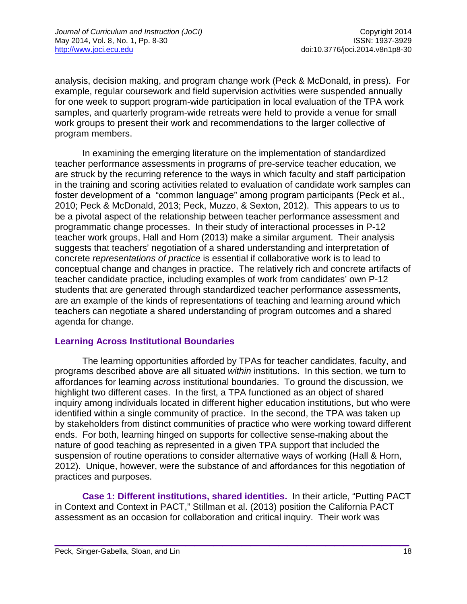analysis, decision making, and program change work (Peck & McDonald, in press). For example, regular coursework and field supervision activities were suspended annually for one week to support program-wide participation in local evaluation of the TPA work samples, and quarterly program-wide retreats were held to provide a venue for small work groups to present their work and recommendations to the larger collective of program members.

In examining the emerging literature on the implementation of standardized teacher performance assessments in programs of pre-service teacher education, we are struck by the recurring reference to the ways in which faculty and staff participation in the training and scoring activities related to evaluation of candidate work samples can foster development of a "common language" among program participants (Peck et al., 2010; Peck & McDonald, 2013; Peck, Muzzo, & Sexton, 2012). This appears to us to be a pivotal aspect of the relationship between teacher performance assessment and programmatic change processes. In their study of interactional processes in P-12 teacher work groups, Hall and Horn (2013) make a similar argument. Their analysis suggests that teachers' negotiation of a shared understanding and interpretation of concrete *representations of practice* is essential if collaborative work is to lead to conceptual change and changes in practice. The relatively rich and concrete artifacts of teacher candidate practice, including examples of work from candidates' own P-12 students that are generated through standardized teacher performance assessments, are an example of the kinds of representations of teaching and learning around which teachers can negotiate a shared understanding of program outcomes and a shared agenda for change.

### **Learning Across Institutional Boundaries**

The learning opportunities afforded by TPAs for teacher candidates, faculty, and programs described above are all situated *within* institutions. In this section, we turn to affordances for learning *across* institutional boundaries. To ground the discussion, we highlight two different cases. In the first, a TPA functioned as an object of shared inquiry among individuals located in different higher education institutions, but who were identified within a single community of practice. In the second, the TPA was taken up by stakeholders from distinct communities of practice who were working toward different ends. For both, learning hinged on supports for collective sense-making about the nature of good teaching as represented in a given TPA support that included the suspension of routine operations to consider alternative ways of working (Hall & Horn, 2012). Unique, however, were the substance of and affordances for this negotiation of practices and purposes.

**Case 1: Different institutions, shared identities.** In their article, "Putting PACT in Context and Context in PACT," Stillman et al. (2013) position the California PACT assessment as an occasion for collaboration and critical inquiry. Their work was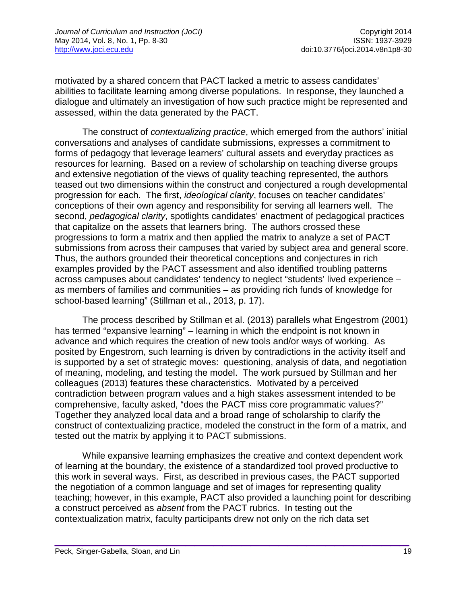motivated by a shared concern that PACT lacked a metric to assess candidates' abilities to facilitate learning among diverse populations. In response, they launched a dialogue and ultimately an investigation of how such practice might be represented and assessed, within the data generated by the PACT.

The construct of *contextualizing practice*, which emerged from the authors' initial conversations and analyses of candidate submissions, expresses a commitment to forms of pedagogy that leverage learners' cultural assets and everyday practices as resources for learning. Based on a review of scholarship on teaching diverse groups and extensive negotiation of the views of quality teaching represented, the authors teased out two dimensions within the construct and conjectured a rough developmental progression for each. The first, *ideological clarity*, focuses on teacher candidates' conceptions of their own agency and responsibility for serving all learners well. The second, *pedagogical clarity*, spotlights candidates' enactment of pedagogical practices that capitalize on the assets that learners bring. The authors crossed these progressions to form a matrix and then applied the matrix to analyze a set of PACT submissions from across their campuses that varied by subject area and general score. Thus, the authors grounded their theoretical conceptions and conjectures in rich examples provided by the PACT assessment and also identified troubling patterns across campuses about candidates' tendency to neglect "students' lived experience – as members of families and communities – as providing rich funds of knowledge for school-based learning" (Stillman et al., 2013, p. 17).

The process described by Stillman et al. (2013) parallels what Engestrom (2001) has termed "expansive learning" – learning in which the endpoint is not known in advance and which requires the creation of new tools and/or ways of working. As posited by Engestrom, such learning is driven by contradictions in the activity itself and is supported by a set of strategic moves: questioning, analysis of data, and negotiation of meaning, modeling, and testing the model. The work pursued by Stillman and her colleagues (2013) features these characteristics. Motivated by a perceived contradiction between program values and a high stakes assessment intended to be comprehensive, faculty asked, "does the PACT miss core programmatic values?" Together they analyzed local data and a broad range of scholarship to clarify the construct of contextualizing practice, modeled the construct in the form of a matrix, and tested out the matrix by applying it to PACT submissions.

While expansive learning emphasizes the creative and context dependent work of learning at the boundary, the existence of a standardized tool proved productive to this work in several ways. First, as described in previous cases, the PACT supported the negotiation of a common language and set of images for representing quality teaching; however, in this example, PACT also provided a launching point for describing a construct perceived as *absent* from the PACT rubrics. In testing out the contextualization matrix, faculty participants drew not only on the rich data set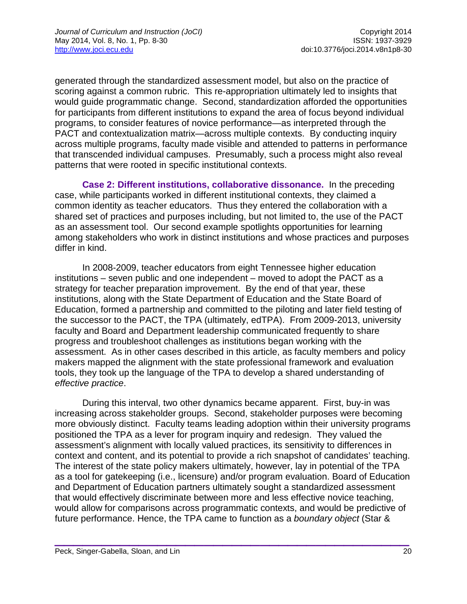generated through the standardized assessment model, but also on the practice of scoring against a common rubric. This re-appropriation ultimately led to insights that would guide programmatic change. Second, standardization afforded the opportunities for participants from different institutions to expand the area of focus beyond individual programs, to consider features of novice performance—as interpreted through the PACT and contextualization matrix—across multiple contexts. By conducting inquiry across multiple programs, faculty made visible and attended to patterns in performance that transcended individual campuses. Presumably, such a process might also reveal patterns that were rooted in specific institutional contexts.

**Case 2: Different institutions, collaborative dissonance.** In the preceding case, while participants worked in different institutional contexts, they claimed a common identity as teacher educators. Thus they entered the collaboration with a shared set of practices and purposes including, but not limited to, the use of the PACT as an assessment tool. Our second example spotlights opportunities for learning among stakeholders who work in distinct institutions and whose practices and purposes differ in kind.

In 2008-2009, teacher educators from eight Tennessee higher education institutions – seven public and one independent – moved to adopt the PACT as a strategy for teacher preparation improvement. By the end of that year, these institutions, along with the State Department of Education and the State Board of Education, formed a partnership and committed to the piloting and later field testing of the successor to the PACT, the TPA (ultimately, edTPA). From 2009-2013, university faculty and Board and Department leadership communicated frequently to share progress and troubleshoot challenges as institutions began working with the assessment. As in other cases described in this article, as faculty members and policy makers mapped the alignment with the state professional framework and evaluation tools, they took up the language of the TPA to develop a shared understanding of *effective practice*.

During this interval, two other dynamics became apparent. First, buy-in was increasing across stakeholder groups. Second, stakeholder purposes were becoming more obviously distinct. Faculty teams leading adoption within their university programs positioned the TPA as a lever for program inquiry and redesign. They valued the assessment's alignment with locally valued practices, its sensitivity to differences in context and content, and its potential to provide a rich snapshot of candidates' teaching. The interest of the state policy makers ultimately, however, lay in potential of the TPA as a tool for gatekeeping (i.e., licensure) and/or program evaluation. Board of Education and Department of Education partners ultimately sought a standardized assessment that would effectively discriminate between more and less effective novice teaching, would allow for comparisons across programmatic contexts, and would be predictive of future performance. Hence, the TPA came to function as a *boundary object* (Star &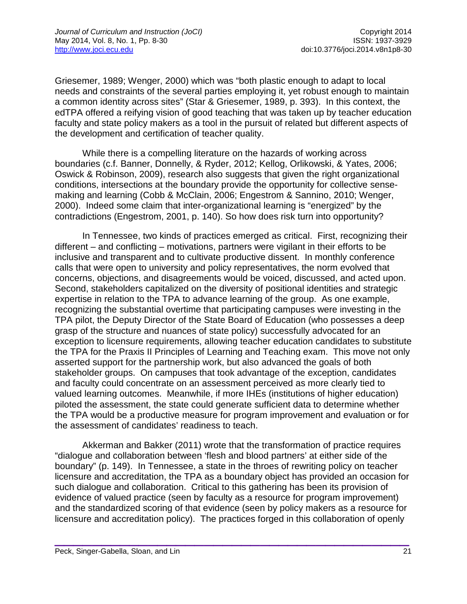Griesemer, 1989; Wenger, 2000) which was "both plastic enough to adapt to local needs and constraints of the several parties employing it, yet robust enough to maintain a common identity across sites" (Star & Griesemer, 1989, p. 393). In this context, the edTPA offered a reifying vision of good teaching that was taken up by teacher education faculty and state policy makers as a tool in the pursuit of related but different aspects of the development and certification of teacher quality.

While there is a compelling literature on the hazards of working across boundaries (c.f. Banner, Donnelly, & Ryder, 2012; Kellog, Orlikowski, & Yates, 2006; Oswick & Robinson, 2009), research also suggests that given the right organizational conditions, intersections at the boundary provide the opportunity for collective sensemaking and learning (Cobb & McClain, 2006; Engestrom & Sannino, 2010; Wenger, 2000). Indeed some claim that inter-organizational learning is "energized" by the contradictions (Engestrom, 2001, p. 140). So how does risk turn into opportunity?

In Tennessee, two kinds of practices emerged as critical. First, recognizing their different – and conflicting – motivations, partners were vigilant in their efforts to be inclusive and transparent and to cultivate productive dissent. In monthly conference calls that were open to university and policy representatives, the norm evolved that concerns, objections, and disagreements would be voiced, discussed, and acted upon. Second, stakeholders capitalized on the diversity of positional identities and strategic expertise in relation to the TPA to advance learning of the group. As one example, recognizing the substantial overtime that participating campuses were investing in the TPA pilot, the Deputy Director of the State Board of Education (who possesses a deep grasp of the structure and nuances of state policy) successfully advocated for an exception to licensure requirements, allowing teacher education candidates to substitute the TPA for the Praxis II Principles of Learning and Teaching exam. This move not only asserted support for the partnership work, but also advanced the goals of both stakeholder groups. On campuses that took advantage of the exception, candidates and faculty could concentrate on an assessment perceived as more clearly tied to valued learning outcomes. Meanwhile, if more IHEs (institutions of higher education) piloted the assessment, the state could generate sufficient data to determine whether the TPA would be a productive measure for program improvement and evaluation or for the assessment of candidates' readiness to teach.

Akkerman and Bakker (2011) wrote that the transformation of practice requires "dialogue and collaboration between 'flesh and blood partners' at either side of the boundary" (p. 149). In Tennessee, a state in the throes of rewriting policy on teacher licensure and accreditation, the TPA as a boundary object has provided an occasion for such dialogue and collaboration. Critical to this gathering has been its provision of evidence of valued practice (seen by faculty as a resource for program improvement) and the standardized scoring of that evidence (seen by policy makers as a resource for licensure and accreditation policy). The practices forged in this collaboration of openly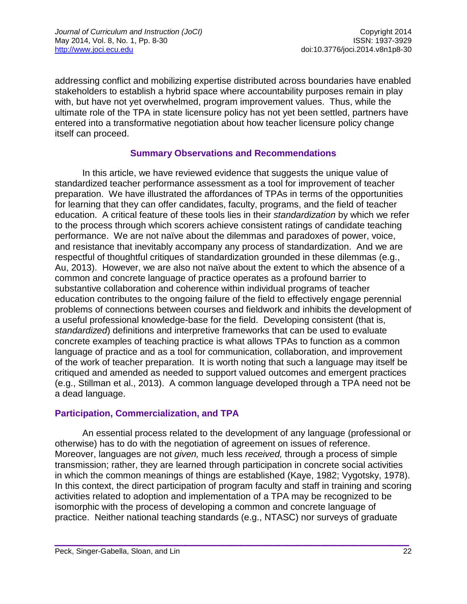addressing conflict and mobilizing expertise distributed across boundaries have enabled stakeholders to establish a hybrid space where accountability purposes remain in play with, but have not yet overwhelmed, program improvement values. Thus, while the ultimate role of the TPA in state licensure policy has not yet been settled, partners have entered into a transformative negotiation about how teacher licensure policy change itself can proceed.

#### **Summary Observations and Recommendations**

In this article, we have reviewed evidence that suggests the unique value of standardized teacher performance assessment as a tool for improvement of teacher preparation. We have illustrated the affordances of TPAs in terms of the opportunities for learning that they can offer candidates, faculty, programs, and the field of teacher education. A critical feature of these tools lies in their *standardization* by which we refer to the process through which scorers achieve consistent ratings of candidate teaching performance. We are not naïve about the dilemmas and paradoxes of power, voice, and resistance that inevitably accompany any process of standardization. And we are respectful of thoughtful critiques of standardization grounded in these dilemmas (e.g., Au, 2013). However, we are also not naïve about the extent to which the absence of a common and concrete language of practice operates as a profound barrier to substantive collaboration and coherence within individual programs of teacher education contributes to the ongoing failure of the field to effectively engage perennial problems of connections between courses and fieldwork and inhibits the development of a useful professional knowledge-base for the field. Developing consistent (that is, *standardized*) definitions and interpretive frameworks that can be used to evaluate concrete examples of teaching practice is what allows TPAs to function as a common language of practice and as a tool for communication, collaboration, and improvement of the work of teacher preparation. It is worth noting that such a language may itself be critiqued and amended as needed to support valued outcomes and emergent practices (e.g., Stillman et al., 2013). A common language developed through a TPA need not be a dead language.

### **Participation, Commercialization, and TPA**

An essential process related to the development of any language (professional or otherwise) has to do with the negotiation of agreement on issues of reference. Moreover, languages are not *given,* much less *received,* through a process of simple transmission; rather, they are learned through participation in concrete social activities in which the common meanings of things are established (Kaye, 1982; Vygotsky, 1978). In this context, the direct participation of program faculty and staff in training and scoring activities related to adoption and implementation of a TPA may be recognized to be isomorphic with the process of developing a common and concrete language of practice. Neither national teaching standards (e.g., NTASC) nor surveys of graduate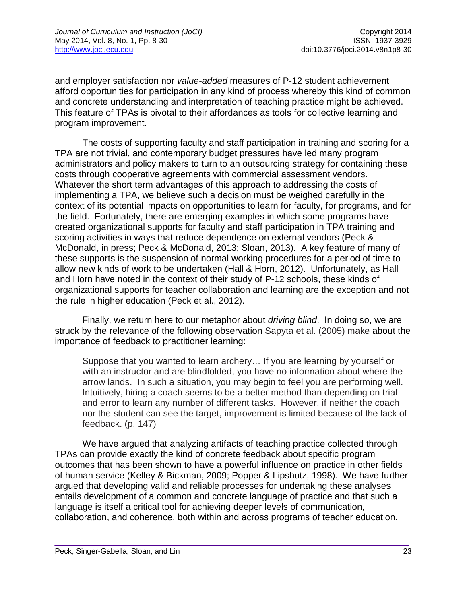and employer satisfaction nor *value-added* measures of P-12 student achievement afford opportunities for participation in any kind of process whereby this kind of common and concrete understanding and interpretation of teaching practice might be achieved. This feature of TPAs is pivotal to their affordances as tools for collective learning and program improvement.

The costs of supporting faculty and staff participation in training and scoring for a TPA are not trivial, and contemporary budget pressures have led many program administrators and policy makers to turn to an outsourcing strategy for containing these costs through cooperative agreements with commercial assessment vendors. Whatever the short term advantages of this approach to addressing the costs of implementing a TPA, we believe such a decision must be weighed carefully in the context of its potential impacts on opportunities to learn for faculty, for programs, and for the field. Fortunately, there are emerging examples in which some programs have created organizational supports for faculty and staff participation in TPA training and scoring activities in ways that reduce dependence on external vendors (Peck & McDonald, in press; Peck & McDonald, 2013; Sloan, 2013). A key feature of many of these supports is the suspension of normal working procedures for a period of time to allow new kinds of work to be undertaken (Hall & Horn, 2012). Unfortunately, as Hall and Horn have noted in the context of their study of P-12 schools, these kinds of organizational supports for teacher collaboration and learning are the exception and not the rule in higher education (Peck et al., 2012).

Finally, we return here to our metaphor about *driving blind*. In doing so, we are struck by the relevance of the following observation Sapyta et al. (2005) make about the importance of feedback to practitioner learning:

Suppose that you wanted to learn archery… If you are learning by yourself or with an instructor and are blindfolded, you have no information about where the arrow lands. In such a situation, you may begin to feel you are performing well. Intuitively, hiring a coach seems to be a better method than depending on trial and error to learn any number of different tasks. However, if neither the coach nor the student can see the target, improvement is limited because of the lack of feedback. (p. 147)

We have argued that analyzing artifacts of teaching practice collected through TPAs can provide exactly the kind of concrete feedback about specific program outcomes that has been shown to have a powerful influence on practice in other fields of human service (Kelley & Bickman, 2009; Popper & Lipshutz, 1998). We have further argued that developing valid and reliable processes for undertaking these analyses entails development of a common and concrete language of practice and that such a language is itself a critical tool for achieving deeper levels of communication, collaboration, and coherence, both within and across programs of teacher education.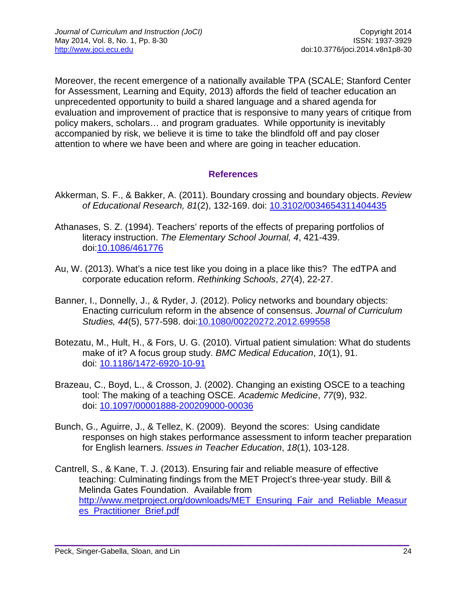Moreover, the recent emergence of a nationally available TPA (SCALE; Stanford Center for Assessment, Learning and Equity, 2013) affords the field of teacher education an unprecedented opportunity to build a shared language and a shared agenda for evaluation and improvement of practice that is responsive to many years of critique from policy makers, scholars… and program graduates. While opportunity is inevitably accompanied by risk, we believe it is time to take the blindfold off and pay closer attention to where we have been and where are going in teacher education.

# **References**

- Akkerman, S. F., & Bakker, A. (2011). Boundary crossing and boundary objects. *Review of Educational Research, 81*(2), 132-169. doi: [10.3102/0034654311404435](http://dx.doi.org/10.3102/0034654311404435)
- Athanases, S. Z. (1994). Teachers' reports of the effects of preparing portfolios of literacy instruction. *The Elementary School Journal, 4*, 421-439. doi[:10.1086/461776](http://dx.doi.org/10.1086/461776)
- Au, W. (2013). What's a nice test like you doing in a place like this? The edTPA and corporate education reform. *Rethinking Schools*, *27*(4), 22-27.
- Banner, I., Donnelly, J., & Ryder, J. (2012). Policy networks and boundary objects: Enacting curriculum reform in the absence of consensus. *Journal of Curriculum Studies, 44*(5), 577-598. doi[:10.1080/00220272.2012.699558](http://dx.doi.org/10.1080/00220272.2012.699558)
- Botezatu, M., Hult, H., & Fors, U. G. (2010). Virtual patient simulation: What do students make of it? A focus group study. *BMC Medical Education*, *10*(1), 91. doi: [10.1186/1472-6920-10-91](http://dx.doi.org/10.1186/1472-6920-10-91)
- Brazeau, C., Boyd, L., & Crosson, J. (2002). Changing an existing OSCE to a teaching tool: The making of a teaching OSCE. *Academic Medicine*, *77*(9), 932. doi: [10.1097/00001888-200209000-00036](http://dx.doi.org/10.1097/00001888-200209000-00036)
- Bunch, G., Aguirre, J., & Tellez, K. (2009). Beyond the scores: Using candidate responses on high stakes performance assessment to inform teacher preparation for English learners. *Issues in Teacher Education*, *18*(1), 103-128.
- Cantrell, S., & Kane, T. J. (2013). Ensuring fair and reliable measure of effective teaching: Culminating findings from the MET Project's three-year study. Bill & Melinda Gates Foundation. Available from [http://www.metproject.org/downloads/MET\\_Ensuring\\_Fair\\_and\\_Reliable\\_Measur](http://www.metproject.org/downloads/MET_Ensuring_Fair_and_Reliable_Measures_Practitioner_Brief.pdf) [es\\_Practitioner\\_Brief.pdf](http://www.metproject.org/downloads/MET_Ensuring_Fair_and_Reliable_Measures_Practitioner_Brief.pdf)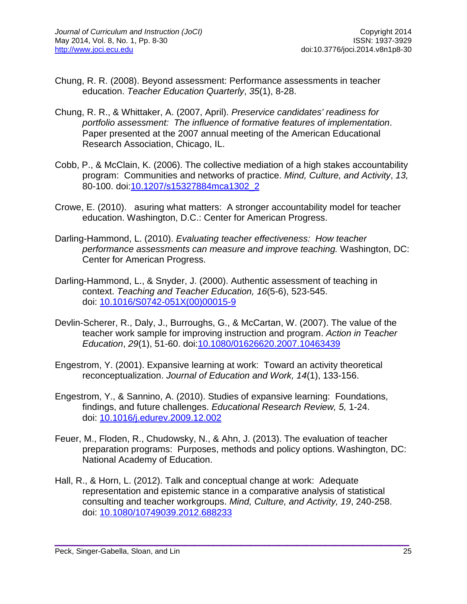- Chung, R. R. (2008). Beyond assessment: Performance assessments in teacher education. *Teacher Education Quarterly*, *35*(1), 8-28.
- Chung, R. R., & Whittaker, A. (2007, April). *Preservice candidates' readiness for portfolio assessment: The influence of formative features of implementation*. Paper presented at the 2007 annual meeting of the American Educational Research Association, Chicago, IL.
- Cobb, P., & McClain, K. (2006). The collective mediation of a high stakes accountability program: Communities and networks of practice. *Mind, Culture, and Activity*, *13,* 80-100. doi[:10.1207/s15327884mca1302\\_2](http://dx.doi.org/10.1207/s15327884mca1302_2)
- Crowe, E. (2010). asuring what matters: A stronger accountability model for teacher education. Washington, D.C.: Center for American Progress.
- Darling-Hammond, L. (2010). *Evaluating teacher effectiveness: How teacher performance assessments can measure and improve teaching.* Washington, DC: Center for American Progress.
- Darling-Hammond, L., & Snyder, J. (2000). Authentic assessment of teaching in context. *Teaching and Teacher Education, 16*(5-6), 523-545. doi: [10.1016/S0742-051X\(00\)00015-9](http://dx.doi.org/10.1016/S0742-051X%2800%2900015-9)
- Devlin-Scherer, R., Daly, J., Burroughs, G., & McCartan, W. (2007). The value of the teacher work sample for improving instruction and program. *Action in Teacher Education*, *29*(1), 51-60. doi[:10.1080/01626620.2007.10463439](http://dx.doi.org/10.1080/01626620.2007.10463439)
- Engestrom, Y. (2001). Expansive learning at work: Toward an activity theoretical reconceptualization. *Journal of Education and Work, 14*(1), 133-156.
- Engestrom, Y., & Sannino, A. (2010). Studies of expansive learning: Foundations, findings, and future challenges. *Educational Research Review, 5,* 1-24. doi: [10.1016/j.edurev.2009.12.002](http://dx.doi.org/10.1016/j.edurev.2009.12.002)
- Feuer, M., Floden, R., Chudowsky, N., & Ahn, J. (2013). The evaluation of teacher preparation programs: Purposes, methods and policy options. Washington, DC: National Academy of Education.
- Hall, R., & Horn, L. (2012). Talk and conceptual change at work: Adequate representation and epistemic stance in a comparative analysis of statistical consulting and teacher workgroups. *Mind, Culture, and Activity, 19*, 240-258. doi: [10.1080/10749039.2012.688233](http://dx.doi.org/10.1080/10749039.2012.688233)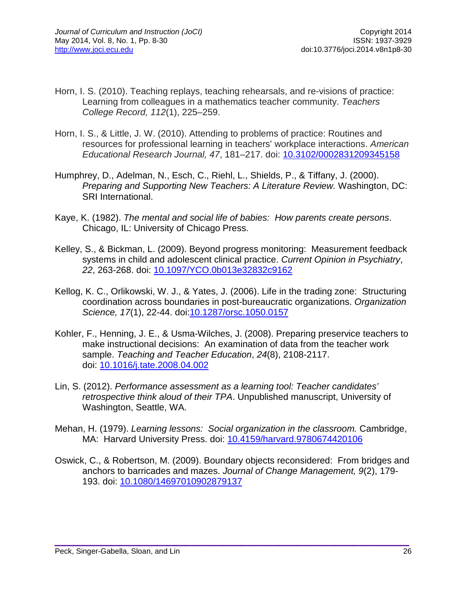- Horn, I. S. (2010). Teaching replays, teaching rehearsals, and re-visions of practice: Learning from colleagues in a mathematics teacher community. *Teachers College Record, 112*(1), 225–259.
- Horn, I. S., & Little, J. W. (2010). Attending to problems of practice: Routines and resources for professional learning in teachers' workplace interactions. *American Educational Research Journal, 47*, 181–217. doi: [10.3102/0002831209345158](http://dx.doi.org/10.3102/0002831209345158)
- Humphrey, D., Adelman, N., Esch, C., Riehl, L., Shields, P., & Tiffany, J. (2000). *Preparing and Supporting New Teachers: A Literature Review.* Washington, DC: SRI International.
- Kaye, K. (1982). *The mental and social life of babies: How parents create persons*. Chicago, IL: University of Chicago Press.
- Kelley, S., & Bickman, L. (2009). Beyond progress monitoring: Measurement feedback systems in child and adolescent clinical practice. *Current Opinion in Psychiatry*, *22*, 263-268. doi: [10.1097/YCO.0b013e32832c9162](http://dx.doi.org/10.1097/YCO.0b013e32832c9162)
- Kellog, K. C., Orlikowski, W. J., & Yates, J. (2006). Life in the trading zone: Structuring coordination across boundaries in post-bureaucratic organizations. *Organization Science, 17*(1), 22-44. doi[:10.1287/orsc.1050.0157](http://dx.doi.org/10.1287/orsc.1050.0157)
- Kohler, F., Henning, J. E., & Usma-Wilches, J. (2008). Preparing preservice teachers to make instructional decisions: An examination of data from the teacher work sample. *Teaching and Teacher Education*, *24*(8), 2108-2117. doi: [10.1016/j.tate.2008.04.002](http://dx.doi.org/10.1016/j.tate.2008.04.002)
- Lin, S. (2012). *Performance assessment as a learning tool: Teacher candidates' retrospective think aloud of their TPA*. Unpublished manuscript, University of Washington, Seattle, WA.
- Mehan, H. (1979). *Learning lessons: Social organization in the classroom.* Cambridge, MA: Harvard University Press. doi: [10.4159/harvard.9780674420106](http://dx.doi.org/10.4159/harvard.9780674420106)
- Oswick, C., & Robertson, M. (2009). Boundary objects reconsidered: From bridges and anchors to barricades and mazes. *Journal of Change Management, 9*(2), 179- 193. doi: [10.1080/14697010902879137](http://dx.doi.org/10.1080/14697010902879137)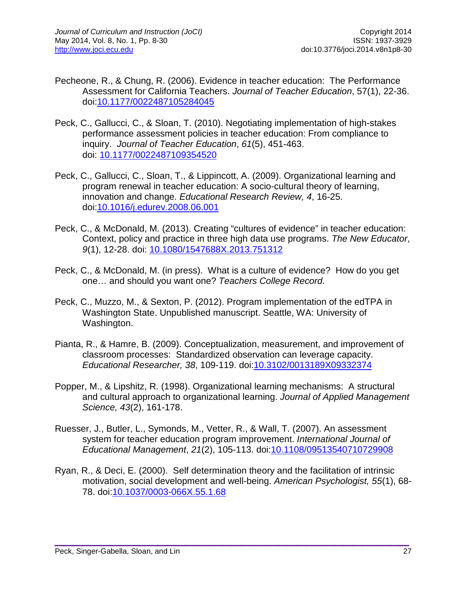- Pecheone, R., & Chung, R. (2006). Evidence in teacher education: The Performance Assessment for California Teachers. *Journal of Teacher Education*, 57(1), 22-36. doi[:10.1177/0022487105284045](http://dx.doi.org/10.1177/0022487105284045)
- Peck, C., Gallucci, C., & Sloan, T. (2010). Negotiating implementation of high-stakes performance assessment policies in teacher education: From compliance to inquiry. *Journal of Teacher Education*, *61*(5), 451-463. doi: [10.1177/0022487109354520](http://dx.doi.org/10.1177/0022487109354520)
- Peck, C., Gallucci, C., Sloan, T., & Lippincott, A. (2009). Organizational learning and program renewal in teacher education: A socio-cultural theory of learning, innovation and change. *Educational Research Review, 4*, 16-25. doi[:10.1016/j.edurev.2008.06.001](http://dx.doi.org/10.1016/j.edurev.2008.06.001)
- Peck, C., & McDonald, M. (2013). Creating "cultures of evidence" in teacher education: Context, policy and practice in three high data use programs. *The New Educator*, *9*(1), 12-28. doi: [10.1080/1547688X.2013.751312](http://dx.doi.org/10.1080/1547688X.2013.751312)
- Peck, C., & McDonald, M. (in press). What is a culture of evidence? How do you get one… and should you want one? *Teachers College Record.*
- Peck, C., Muzzo, M., & Sexton, P. (2012). Program implementation of the edTPA in Washington State. Unpublished manuscript. Seattle, WA: University of Washington.
- Pianta, R., & Hamre, B. (2009). Conceptualization, measurement, and improvement of classroom processes: Standardized observation can leverage capacity. *Educational Researcher, 38*, 109-119. doi[:10.3102/0013189X09332374](http://dx.doi.org/10.3102/0013189X09332374)
- Popper, M., & Lipshitz, R. (1998). Organizational learning mechanisms: A structural and cultural approach to organizational learning. *Journal of Applied Management Science, 43*(2), 161-178.
- Ruesser, J., Butler, L., Symonds, M., Vetter, R., & Wall, T. (2007). An assessment system for teacher education program improvement. *International Journal of Educational Management*, *21*(2), 105-113. doi[:10.1108/09513540710729908](http://dx.doi.org/10.1108/09513540710729908)
- Ryan, R., & Deci, E. (2000). Self determination theory and the facilitation of intrinsic motivation, social development and well-being. *American Psychologist, 55*(1), 68- 78. doi[:10.1037/0003-066X.55.1.68](http://dx.doi.org/10.1037/0003-066X.55.1.68)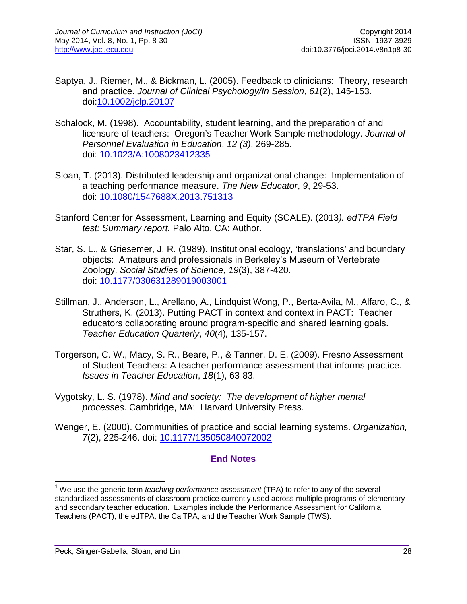- Saptya, J., Riemer, M., & Bickman, L. (2005). Feedback to clinicians: Theory, research and practice. *Journal of Clinical Psychology/In Session*, *61*(2), 145-153. doi[:10.1002/jclp.20107](http://dx.doi.org/10.1002/jclp.20107)
- Schalock, M. (1998). Accountability, student learning, and the preparation of and licensure of teachers: Oregon's Teacher Work Sample methodology. *Journal of Personnel Evaluation in Education*, *12 (3)*, 269-285. doi: [10.1023/A:1008023412335](http://dx.doi.org/10.1023/A:1008023412335)
- Sloan, T. (2013). Distributed leadership and organizational change: Implementation of a teaching performance measure. *The New Educator*, *9*, 29-53. doi: [10.1080/1547688X.2013.751313](http://dx.doi.org/10.1080/1547688X.2013.751313)
- Stanford Center for Assessment, Learning and Equity (SCALE). (2013*). edTPA Field test: Summary report.* Palo Alto, CA: Author.
- Star, S. L., & Griesemer, J. R. (1989). Institutional ecology, 'translations' and boundary objects: Amateurs and professionals in Berkeley's Museum of Vertebrate Zoology. *Social Studies of Science, 19*(3), 387-420. doi: [10.1177/030631289019003001](http://dx.doi.org/10.1177/030631289019003001)
- Stillman, J., Anderson, L., Arellano, A., Lindquist Wong, P., Berta-Avila, M., Alfaro, C., & Struthers, K. (2013). Putting PACT in context and context in PACT: Teacher educators collaborating around program-specific and shared learning goals. *Teacher Education Quarterly*, *40*(4)*,* 135-157.
- Torgerson, C. W., Macy, S. R., Beare, P., & Tanner, D. E. (2009). Fresno Assessment of Student Teachers: A teacher performance assessment that informs practice. *Issues in Teacher Education*, *18*(1), 63-83.
- Vygotsky, L. S. (1978). *Mind and society: The development of higher mental processes*. Cambridge, MA: Harvard University Press.
- Wenger, E. (2000). Communities of practice and social learning systems. *Organization, 7*(2), 225-246. doi: [10.1177/135050840072002](http://dx.doi.org/10.1177/135050840072002)

### **End Notes**

<sup>1</sup> We use the generic term *teaching performance assessment* (TPA) to refer to any of the several standardized assessments of classroom practice currently used across multiple programs of elementary and secondary teacher education. Examples include the Performance Assessment for California Teachers (PACT), the edTPA, the CalTPA, and the Teacher Work Sample (TWS).  $\overline{1}$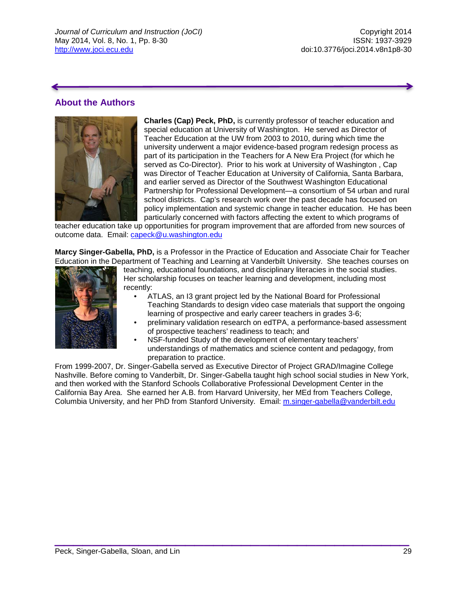## **About the Authors**



**Charles (Cap) Peck, PhD,** is currently professor of teacher education and special education at University of Washington. He served as Director of Teacher Education at the UW from 2003 to 2010, during which time the university underwent a major evidence-based program redesign process as part of its participation in the Teachers for A New Era Project (for which he served as Co-Director). Prior to his work at University of Washington , Cap was Director of Teacher Education at University of California, Santa Barbara, and earlier served as Director of the Southwest Washington Educational Partnership for Professional Development—a consortium of 54 urban and rural school districts. Cap's research work over the past decade has focused on policy implementation and systemic change in teacher education. He has been particularly concerned with factors affecting the extent to which programs of

teacher education take up opportunities for program improvement that are afforded from new sources of outcome data. Email: [capeck@u.washington.edu](mailto:capeck@u.washington.edu)

**Marcy Singer-Gabella, PhD,** is a Professor in the Practice of Education and Associate Chair for Teacher Education in the Department of Teaching and Learning at Vanderbilt University. She teaches courses on



teaching, educational foundations, and disciplinary literacies in the social studies. Her scholarship focuses on teacher learning and development, including most recently:

- ATLAS, an I3 grant project led by the National Board for Professional Teaching Standards to design video case materials that support the ongoing learning of prospective and early career teachers in grades 3-6;
- preliminary validation research on edTPA, a performance-based assessment of prospective teachers' readiness to teach; and
	- NSF-funded Study of the development of elementary teachers' understandings of mathematics and science content and pedagogy, from preparation to practice.

<span id="page-21-0"></span>From 1999-2007, Dr. Singer-Gabella served as Executive Director of Project GRAD/Imagine College Nashville. Before coming to Vanderbilt, Dr. Singer-Gabella taught high school social studies in New York, and then worked with the Stanford Schools Collaborative Professional Development Center in the California Bay Area. She earned her A.B. from Harvard University, her MEd from Teachers College, Columbia University, and her PhD from Stanford University. Email: [m.singer-gabella@vanderbilt.edu](mailto:m.singer-gabella@vanderbilt.edu)